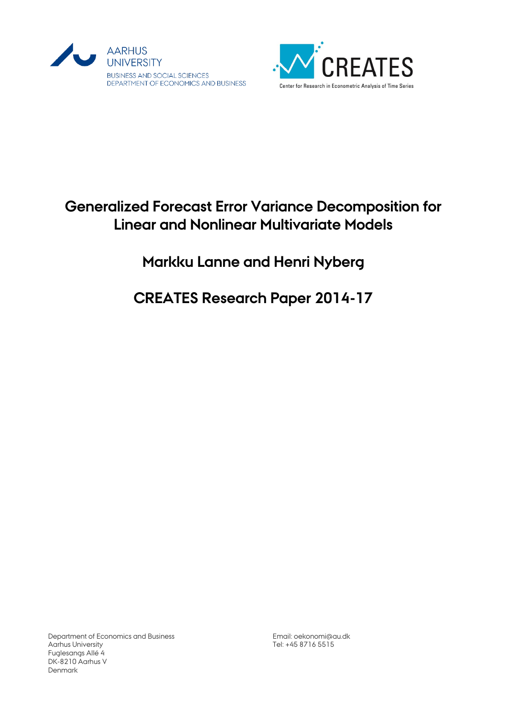



# **Generalized Forecast Error Variance Decomposition for Linear and Nonlinear Multivariate Models**

## **Markku Lanne and Henri Nyberg**

# **CREATES Research Paper 2014-17**

Department of Economics and Business Aarhus University Fuglesangs Allé 4 DK-8210 Aarhus V Denmark

Email[: oekonomi@au.dk](mailto:oekonomi@au.dk) Tel: +45 8716 5515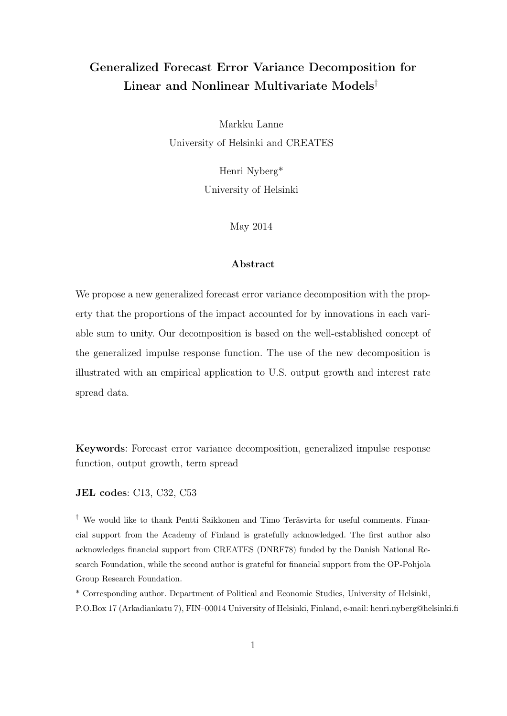## Generalized Forecast Error Variance Decomposition for Linear and Nonlinear Multivariate Models†

Markku Lanne University of Helsinki and CREATES

> Henri Nyberg\* University of Helsinki

> > May 2014

#### Abstract

We propose a new generalized forecast error variance decomposition with the property that the proportions of the impact accounted for by innovations in each variable sum to unity. Our decomposition is based on the well-established concept of the generalized impulse response function. The use of the new decomposition is illustrated with an empirical application to U.S. output growth and interest rate spread data.

Keywords: Forecast error variance decomposition, generalized impulse response function, output growth, term spread

#### JEL codes: C13, C32, C53

† We would like to thank Pentti Saikkonen and Timo Teräsvirta for useful comments. Financial support from the Academy of Finland is gratefully acknowledged. The first author also acknowledges financial support from CREATES (DNRF78) funded by the Danish National Research Foundation, while the second author is grateful for financial support from the OP-Pohjola Group Research Foundation.

\* Corresponding author. Department of Political and Economic Studies, University of Helsinki, P.O.Box 17 (Arkadiankatu 7), FIN–00014 University of Helsinki, Finland, e-mail: henri.nyberg@helsinki.fi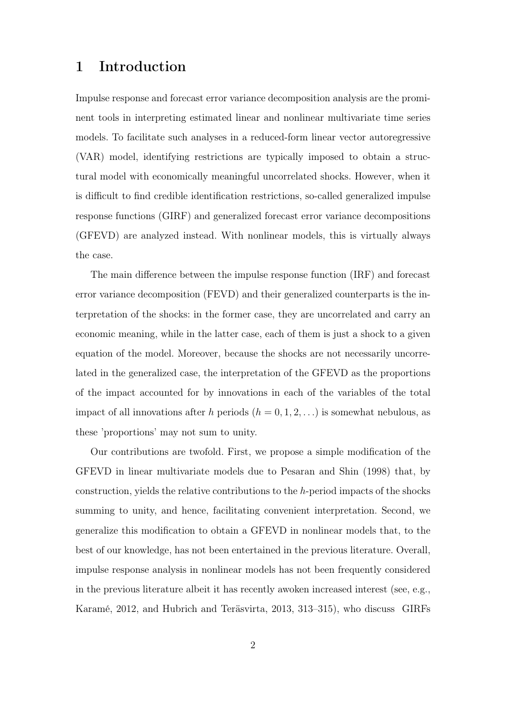### 1 Introduction

Impulse response and forecast error variance decomposition analysis are the prominent tools in interpreting estimated linear and nonlinear multivariate time series models. To facilitate such analyses in a reduced-form linear vector autoregressive (VAR) model, identifying restrictions are typically imposed to obtain a structural model with economically meaningful uncorrelated shocks. However, when it is difficult to find credible identification restrictions, so-called generalized impulse response functions (GIRF) and generalized forecast error variance decompositions (GFEVD) are analyzed instead. With nonlinear models, this is virtually always the case.

The main difference between the impulse response function (IRF) and forecast error variance decomposition (FEVD) and their generalized counterparts is the interpretation of the shocks: in the former case, they are uncorrelated and carry an economic meaning, while in the latter case, each of them is just a shock to a given equation of the model. Moreover, because the shocks are not necessarily uncorrelated in the generalized case, the interpretation of the GFEVD as the proportions of the impact accounted for by innovations in each of the variables of the total impact of all innovations after h periods  $(h = 0, 1, 2, ...)$  is somewhat nebulous, as these 'proportions' may not sum to unity.

Our contributions are twofold. First, we propose a simple modification of the GFEVD in linear multivariate models due to Pesaran and Shin (1998) that, by construction, yields the relative contributions to the h-period impacts of the shocks summing to unity, and hence, facilitating convenient interpretation. Second, we generalize this modification to obtain a GFEVD in nonlinear models that, to the best of our knowledge, has not been entertained in the previous literature. Overall, impulse response analysis in nonlinear models has not been frequently considered in the previous literature albeit it has recently awoken increased interest (see, e.g., Karamé, 2012, and Hubrich and Teräsvirta, 2013, 313–315), who discuss GIRFs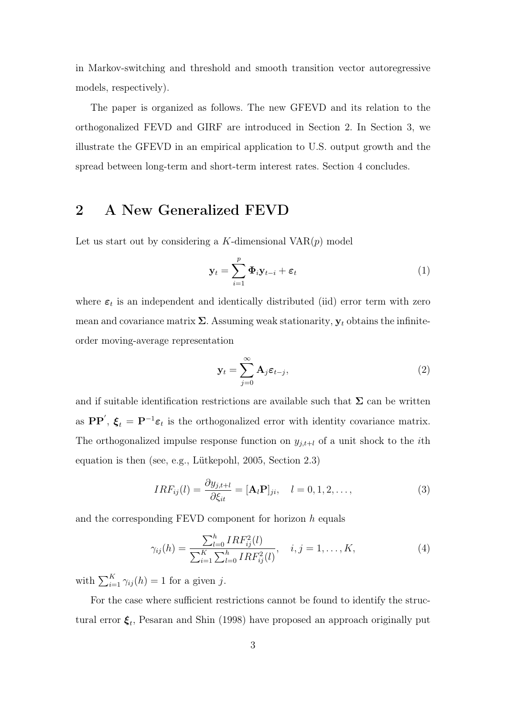in Markov-switching and threshold and smooth transition vector autoregressive models, respectively).

The paper is organized as follows. The new GFEVD and its relation to the orthogonalized FEVD and GIRF are introduced in Section 2. In Section 3, we illustrate the GFEVD in an empirical application to U.S. output growth and the spread between long-term and short-term interest rates. Section 4 concludes.

### 2 A New Generalized FEVD

Let us start out by considering a K-dimensional  $VAR(p)$  model

$$
\mathbf{y}_t = \sum_{i=1}^p \mathbf{\Phi}_i \mathbf{y}_{t-i} + \boldsymbol{\varepsilon}_t \tag{1}
$$

where  $\varepsilon_t$  is an independent and identically distributed (iid) error term with zero mean and covariance matrix  $\Sigma$ . Assuming weak stationarity,  $y_t$  obtains the infiniteorder moving-average representation

$$
\mathbf{y}_t = \sum_{j=0}^{\infty} \mathbf{A}_j \boldsymbol{\varepsilon}_{t-j},
$$
 (2)

and if suitable identification restrictions are available such that  $\Sigma$  can be written as  $\mathbf{PP}'$ ,  $\xi_t = \mathbf{P}^{-1}\varepsilon_t$  is the orthogonalized error with identity covariance matrix. The orthogonalized impulse response function on  $y_{j,t+l}$  of a unit shock to the *i*th equation is then (see, e.g., Lütkepohl, 2005, Section 2.3)

$$
IRF_{ij}(l) = \frac{\partial y_{j,t+l}}{\partial \xi_{it}} = [\mathbf{A}_l \mathbf{P}]_{ji}, \quad l = 0, 1, 2, \dots,
$$
\n(3)

and the corresponding FEVD component for horizon h equals

$$
\gamma_{ij}(h) = \frac{\sum_{l=0}^{h} IRF_{ij}^{2}(l)}{\sum_{i=1}^{K} \sum_{l=0}^{h} IRF_{ij}^{2}(l)}, \quad i, j = 1, \dots, K,
$$
\n(4)

with  $\sum_{i=1}^{K} \gamma_{ij}(h) = 1$  for a given j.

For the case where sufficient restrictions cannot be found to identify the structural error  $\xi_t$ , Pesaran and Shin (1998) have proposed an approach originally put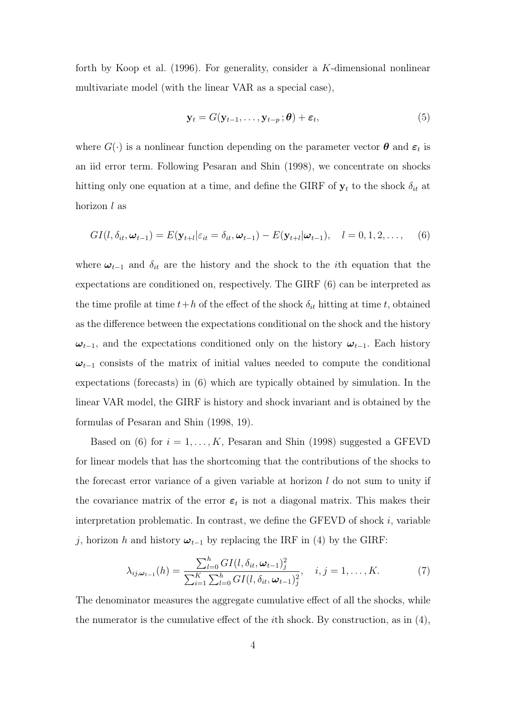forth by Koop et al. (1996). For generality, consider a K-dimensional nonlinear multivariate model (with the linear VAR as a special case),

$$
\mathbf{y}_t = G(\mathbf{y}_{t-1}, \dots, \mathbf{y}_{t-p}; \boldsymbol{\theta}) + \boldsymbol{\varepsilon}_t, \tag{5}
$$

where  $G(\cdot)$  is a nonlinear function depending on the parameter vector  $\boldsymbol{\theta}$  and  $\boldsymbol{\varepsilon}_t$  is an iid error term. Following Pesaran and Shin (1998), we concentrate on shocks hitting only one equation at a time, and define the GIRF of  $y_t$  to the shock  $\delta_{it}$  at horizon l as

$$
GI(l, \delta_{it}, \boldsymbol{\omega}_{t-1}) = E(\mathbf{y}_{t+l}|\varepsilon_{it} = \delta_{it}, \boldsymbol{\omega}_{t-1}) - E(\mathbf{y}_{t+l}|\boldsymbol{\omega}_{t-1}), \quad l = 0, 1, 2, \dots,
$$
 (6)

where  $\omega_{t-1}$  and  $\delta_{it}$  are the history and the shock to the *i*th equation that the expectations are conditioned on, respectively. The GIRF (6) can be interpreted as the time profile at time  $t+h$  of the effect of the shock  $\delta_{it}$  hitting at time t, obtained as the difference between the expectations conditional on the shock and the history  $\omega_{t-1}$ , and the expectations conditioned only on the history  $\omega_{t-1}$ . Each history  $\omega_{t-1}$  consists of the matrix of initial values needed to compute the conditional expectations (forecasts) in (6) which are typically obtained by simulation. In the linear VAR model, the GIRF is history and shock invariant and is obtained by the formulas of Pesaran and Shin (1998, 19).

Based on (6) for  $i = 1, ..., K$ , Pesaran and Shin (1998) suggested a GFEVD for linear models that has the shortcoming that the contributions of the shocks to the forecast error variance of a given variable at horizon  $l$  do not sum to unity if the covariance matrix of the error  $\varepsilon_t$  is not a diagonal matrix. This makes their interpretation problematic. In contrast, we define the GFEVD of shock  $i$ , variable j, horizon h and history  $\omega_{t-1}$  by replacing the IRF in (4) by the GIRF:

$$
\lambda_{ij,\omega_{t-1}}(h) = \frac{\sum_{l=0}^{h} GI(l, \delta_{it}, \omega_{t-1})_{j}^{2}}{\sum_{i=1}^{K} \sum_{l=0}^{h} GI(l, \delta_{it}, \omega_{t-1})_{j}^{2}}, \quad i, j = 1, ..., K.
$$
 (7)

The denominator measures the aggregate cumulative effect of all the shocks, while the numerator is the cumulative effect of the *i*th shock. By construction, as in  $(4)$ ,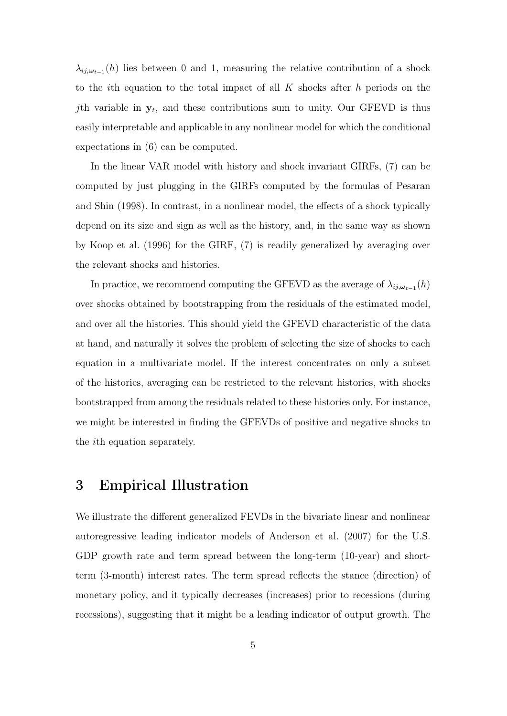$\lambda_{ij,\omega_{t-1}}(h)$  lies between 0 and 1, measuring the relative contribution of a shock to the *i*th equation to the total impact of all  $K$  shocks after  $h$  periods on the *j*th variable in  $y_t$ , and these contributions sum to unity. Our GFEVD is thus easily interpretable and applicable in any nonlinear model for which the conditional expectations in (6) can be computed.

In the linear VAR model with history and shock invariant GIRFs, (7) can be computed by just plugging in the GIRFs computed by the formulas of Pesaran and Shin (1998). In contrast, in a nonlinear model, the effects of a shock typically depend on its size and sign as well as the history, and, in the same way as shown by Koop et al. (1996) for the GIRF, (7) is readily generalized by averaging over the relevant shocks and histories.

In practice, we recommend computing the GFEVD as the average of  $\lambda_{ij,\omega_{t-1}}(h)$ over shocks obtained by bootstrapping from the residuals of the estimated model, and over all the histories. This should yield the GFEVD characteristic of the data at hand, and naturally it solves the problem of selecting the size of shocks to each equation in a multivariate model. If the interest concentrates on only a subset of the histories, averaging can be restricted to the relevant histories, with shocks bootstrapped from among the residuals related to these histories only. For instance, we might be interested in finding the GFEVDs of positive and negative shocks to the ith equation separately.

#### 3 Empirical Illustration

We illustrate the different generalized FEVDs in the bivariate linear and nonlinear autoregressive leading indicator models of Anderson et al. (2007) for the U.S. GDP growth rate and term spread between the long-term (10-year) and shortterm (3-month) interest rates. The term spread reflects the stance (direction) of monetary policy, and it typically decreases (increases) prior to recessions (during recessions), suggesting that it might be a leading indicator of output growth. The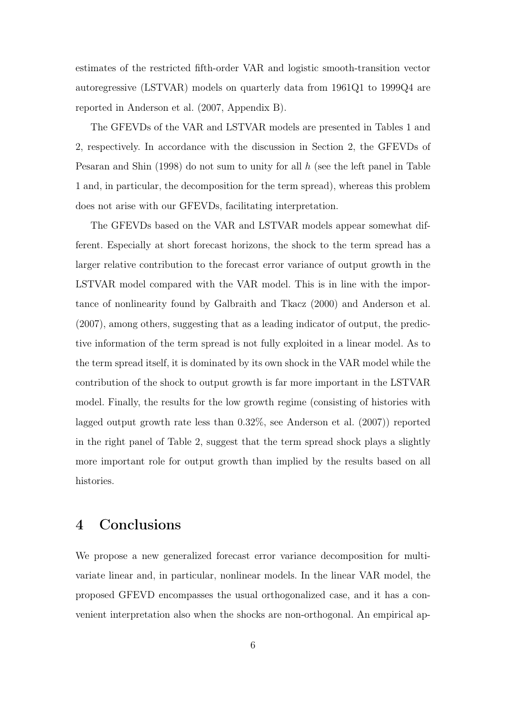estimates of the restricted fifth-order VAR and logistic smooth-transition vector autoregressive (LSTVAR) models on quarterly data from 1961Q1 to 1999Q4 are reported in Anderson et al. (2007, Appendix B).

The GFEVDs of the VAR and LSTVAR models are presented in Tables 1 and 2, respectively. In accordance with the discussion in Section 2, the GFEVDs of Pesaran and Shin (1998) do not sum to unity for all h (see the left panel in Table 1 and, in particular, the decomposition for the term spread), whereas this problem does not arise with our GFEVDs, facilitating interpretation.

The GFEVDs based on the VAR and LSTVAR models appear somewhat different. Especially at short forecast horizons, the shock to the term spread has a larger relative contribution to the forecast error variance of output growth in the LSTVAR model compared with the VAR model. This is in line with the importance of nonlinearity found by Galbraith and Tkacz (2000) and Anderson et al. (2007), among others, suggesting that as a leading indicator of output, the predictive information of the term spread is not fully exploited in a linear model. As to the term spread itself, it is dominated by its own shock in the VAR model while the contribution of the shock to output growth is far more important in the LSTVAR model. Finally, the results for the low growth regime (consisting of histories with lagged output growth rate less than 0.32%, see Anderson et al. (2007)) reported in the right panel of Table 2, suggest that the term spread shock plays a slightly more important role for output growth than implied by the results based on all histories.

#### 4 Conclusions

We propose a new generalized forecast error variance decomposition for multivariate linear and, in particular, nonlinear models. In the linear VAR model, the proposed GFEVD encompasses the usual orthogonalized case, and it has a convenient interpretation also when the shocks are non-orthogonal. An empirical ap-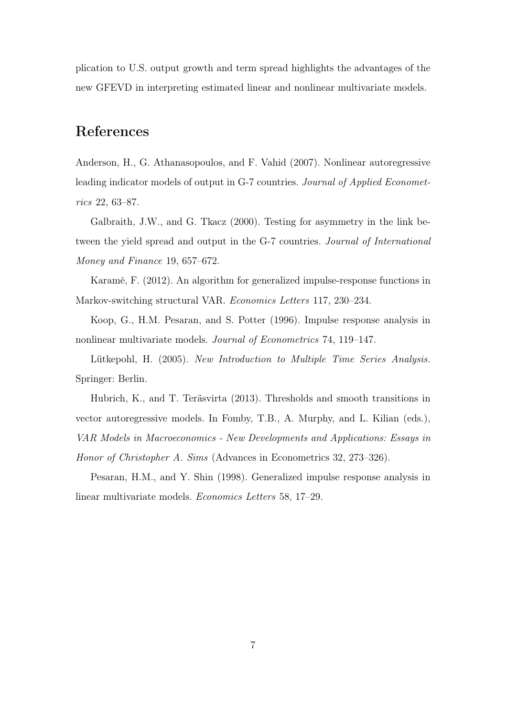plication to U.S. output growth and term spread highlights the advantages of the new GFEVD in interpreting estimated linear and nonlinear multivariate models.

### References

Anderson, H., G. Athanasopoulos, and F. Vahid (2007). Nonlinear autoregressive leading indicator models of output in G-7 countries. Journal of Applied Econometrics 22, 63–87.

Galbraith, J.W., and G. Tkacz (2000). Testing for asymmetry in the link between the yield spread and output in the G-7 countries. Journal of International Money and Finance 19, 657–672.

Karamé, F. (2012). An algorithm for generalized impulse-response functions in Markov-switching structural VAR. *Economics Letters* 117, 230–234.

Koop, G., H.M. Pesaran, and S. Potter (1996). Impulse response analysis in nonlinear multivariate models. Journal of Econometrics 74, 119–147.

Lütkepohl, H. (2005). New Introduction to Multiple Time Series Analysis. Springer: Berlin.

Hubrich, K., and T. Teräsvirta (2013). Thresholds and smooth transitions in vector autoregressive models. In Fomby, T.B., A. Murphy, and L. Kilian (eds.), VAR Models in Macroeconomics - New Developments and Applications: Essays in Honor of Christopher A. Sims (Advances in Econometrics 32, 273–326).

Pesaran, H.M., and Y. Shin (1998). Generalized impulse response analysis in linear multivariate models. Economics Letters 58, 17–29.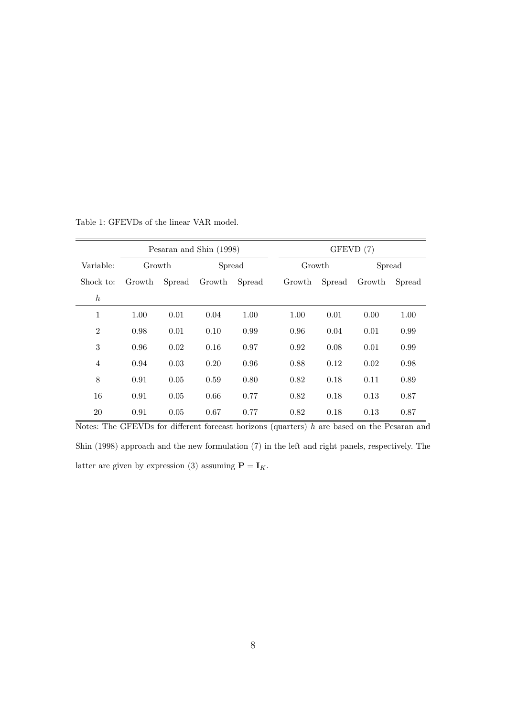|                  | Pesaran and Shin (1998) |        |        |        | GFEVD (7) |        |        |        |  |
|------------------|-------------------------|--------|--------|--------|-----------|--------|--------|--------|--|
| Variable:        | Growth                  |        | Spread |        | Growth    |        | Spread |        |  |
| Shock to:        | Growth                  | Spread | Growth | Spread | Growth    | Spread | Growth | Spread |  |
| $\boldsymbol{h}$ |                         |        |        |        |           |        |        |        |  |
| $\mathbf{1}$     | 1.00                    | 0.01   | 0.04   | 1.00   | 1.00      | 0.01   | 0.00   | 1.00   |  |
| $\overline{2}$   | 0.98                    | 0.01   | 0.10   | 0.99   | 0.96      | 0.04   | 0.01   | 0.99   |  |
| 3                | 0.96                    | 0.02   | 0.16   | 0.97   | 0.92      | 0.08   | 0.01   | 0.99   |  |
| $\overline{4}$   | 0.94                    | 0.03   | 0.20   | 0.96   | 0.88      | 0.12   | 0.02   | 0.98   |  |
| 8                | 0.91                    | 0.05   | 0.59   | 0.80   | 0.82      | 0.18   | 0.11   | 0.89   |  |
| 16               | 0.91                    | 0.05   | 0.66   | 0.77   | 0.82      | 0.18   | 0.13   | 0.87   |  |
| 20               | 0.91                    | 0.05   | 0.67   | 0.77   | 0.82      | 0.18   | 0.13   | 0.87   |  |

Table 1: GFEVDs of the linear VAR model.

Notes: The GFEVDs for different forecast horizons (quarters)  $h$  are based on the Pesaran and Shin (1998) approach and the new formulation (7) in the left and right panels, respectively. The latter are given by expression (3) assuming  $\mathbf{P}=\mathbf{I}_K.$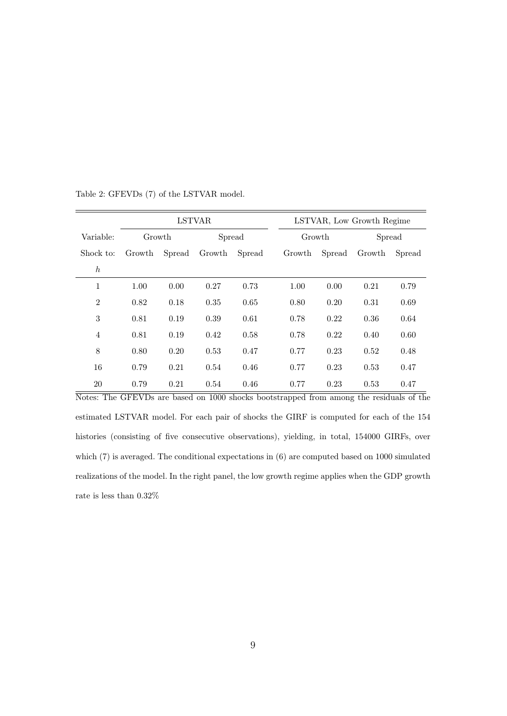|                  | <b>LSTVAR</b> |        |        |        | LSTVAR, Low Growth Regime |        |        |        |
|------------------|---------------|--------|--------|--------|---------------------------|--------|--------|--------|
| Variable:        | Growth        |        | Spread |        | Growth                    |        | Spread |        |
| Shock to:        | Growth        | Spread | Growth | Spread | Growth                    | Spread | Growth | Spread |
| $\boldsymbol{h}$ |               |        |        |        |                           |        |        |        |
| 1                | 1.00          | 0.00   | 0.27   | 0.73   | 1.00                      | 0.00   | 0.21   | 0.79   |
| $\overline{2}$   | 0.82          | 0.18   | 0.35   | 0.65   | 0.80                      | 0.20   | 0.31   | 0.69   |
| 3                | 0.81          | 0.19   | 0.39   | 0.61   | 0.78                      | 0.22   | 0.36   | 0.64   |
| $\overline{4}$   | 0.81          | 0.19   | 0.42   | 0.58   | 0.78                      | 0.22   | 0.40   | 0.60   |
| 8                | 0.80          | 0.20   | 0.53   | 0.47   | 0.77                      | 0.23   | 0.52   | 0.48   |
| 16               | 0.79          | 0.21   | 0.54   | 0.46   | 0.77                      | 0.23   | 0.53   | 0.47   |
| 20               | 0.79          | 0.21   | 0.54   | 0.46   | 0.77                      | 0.23   | 0.53   | 0.47   |

Table 2: GFEVDs (7) of the LSTVAR model.

Notes: The GFEVDs are based on 1000 shocks bootstrapped from among the residuals of the estimated LSTVAR model. For each pair of shocks the GIRF is computed for each of the 154 histories (consisting of five consecutive observations), yielding, in total, 154000 GIRFs, over which  $(7)$  is averaged. The conditional expectations in  $(6)$  are computed based on 1000 simulated realizations of the model. In the right panel, the low growth regime applies when the GDP growth rate is less than 0.32%